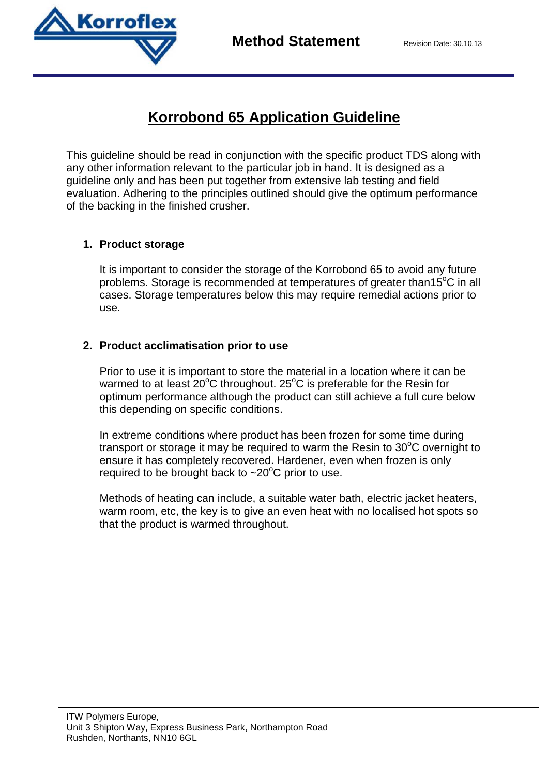

# **Korrobond 65 Application Guideline**

This guideline should be read in conjunction with the specific product TDS along with any other information relevant to the particular job in hand. It is designed as a guideline only and has been put together from extensive lab testing and field evaluation. Adhering to the principles outlined should give the optimum performance of the backing in the finished crusher.

## **1. Product storage**

It is important to consider the storage of the Korrobond 65 to avoid any future problems. Storage is recommended at temperatures of greater than  $15^{\circ}$ C in all cases. Storage temperatures below this may require remedial actions prior to use.

## **2. Product acclimatisation prior to use**

Prior to use it is important to store the material in a location where it can be warmed to at least  $20^{\circ}$ C throughout.  $25^{\circ}$ C is preferable for the Resin for optimum performance although the product can still achieve a full cure below this depending on specific conditions.

In extreme conditions where product has been frozen for some time during transport or storage it may be required to warm the Resin to  $30^{\circ}$ C overnight to ensure it has completely recovered. Hardener, even when frozen is only required to be brought back to  $\sim$  20 $\degree$ C prior to use.

Methods of heating can include, a suitable water bath, electric jacket heaters, warm room, etc, the key is to give an even heat with no localised hot spots so that the product is warmed throughout.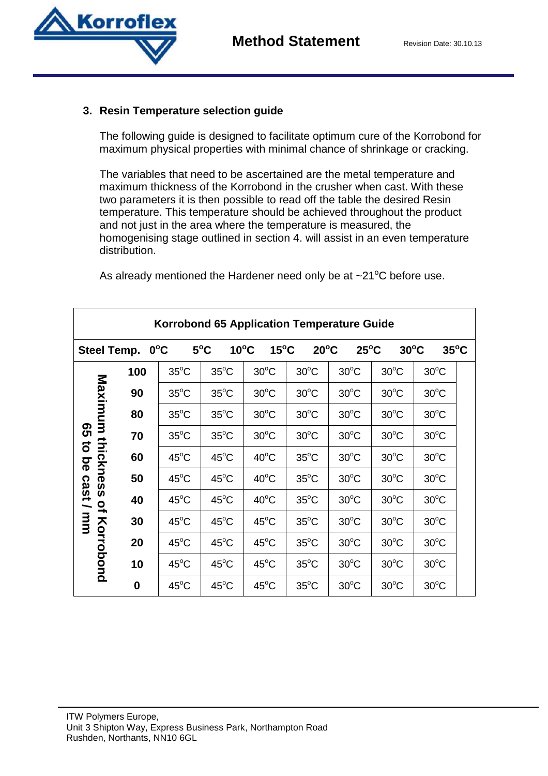



#### **3. Resin Temperature selection guide**

The following guide is designed to facilitate optimum cure of the Korrobond for maximum physical properties with minimal chance of shrinkage or cracking.

The variables that need to be ascertained are the metal temperature and maximum thickness of the Korrobond in the crusher when cast. With these two parameters it is then possible to read off the table the desired Resin temperature. This temperature should be achieved throughout the product and not just in the area where the temperature is measured, the homogenising stage outlined in section 4. will assist in an even temperature distribution.

| Korrobond 65 Application Temperature Guide                                                                       |          |                |                                 |                |                |                |                |                |  |
|------------------------------------------------------------------------------------------------------------------|----------|----------------|---------------------------------|----------------|----------------|----------------|----------------|----------------|--|
| <b>Steel Temp.</b>                                                                                               |          | $0^{\circ}$ C  | $5^{\circ}$ C<br>$10^{\circ}$ C | $15^{\circ}$ C | $20^{\circ}$ C | $25^{\circ}$ C | $30^{\circ}$ C | $35^{\circ}$ C |  |
| Maximum<br>ၛၟ<br>thicknes<br>ົ່ວ<br><u>ଚ</u><br>cast<br><b>in</b><br>$\mathbf{Q}_\mathbf{r}$<br>uuu<br>Korrobond | 100      | $35^{\circ}$ C | $35^{\circ}$ C                  | $30^{\circ}$ C | $30^{\circ}$ C | $30^{\circ}$ C | $30^{\circ}$ C | $30^{\circ}$ C |  |
|                                                                                                                  | 90       | $35^{\circ}$ C | $35^{\circ}$ C                  | $30^{\circ}$ C | $30^{\circ}$ C | $30^{\circ}$ C | $30^{\circ}$ C | $30^{\circ}$ C |  |
|                                                                                                                  | 80       | $35^{\circ}$ C | $35^{\circ}$ C                  | $30^{\circ}$ C | $30^{\circ}$ C | $30^{\circ}$ C | $30^{\circ}$ C | $30^{\circ}$ C |  |
|                                                                                                                  | 70       | $35^{\circ}$ C | $35^{\circ}$ C                  | $30^{\circ}$ C | $30^{\circ}$ C | $30^{\circ}$ C | $30^{\circ}$ C | $30^{\circ}$ C |  |
|                                                                                                                  | 60       | $45^{\circ}$ C | $45^{\circ}$ C                  | $40^{\circ}$ C | $35^{\circ}$ C | $30^{\circ}$ C | $30^{\circ}$ C | $30^{\circ}$ C |  |
|                                                                                                                  | 50       | $45^{\circ}$ C | $45^{\circ}$ C                  | $40^{\circ}$ C | $35^{\circ}$ C | $30^{\circ}$ C | $30^{\circ}$ C | $30^{\circ}$ C |  |
|                                                                                                                  | 40       | $45^{\circ}$ C | $45^{\circ}$ C                  | $40^{\circ}$ C | $35^{\circ}$ C | $30^{\circ}$ C | $30^{\circ}$ C | $30^{\circ}$ C |  |
|                                                                                                                  | 30       | $45^{\circ}$ C | $45^{\circ}$ C                  | $45^{\circ}$ C | $35^{\circ}$ C | $30^{\circ}$ C | $30^{\circ}$ C | $30^{\circ}$ C |  |
|                                                                                                                  | 20       | $45^{\circ}$ C | $45^{\circ}$ C                  | $45^{\circ}$ C | $35^{\circ}$ C | $30^{\circ}$ C | $30^{\circ}$ C | $30^{\circ}$ C |  |
|                                                                                                                  | 10       | $45^{\circ}$ C | $45^{\circ}$ C                  | $45^{\circ}$ C | $35^{\circ}$ C | $30^{\circ}$ C | $30^{\circ}$ C | $30^{\circ}$ C |  |
|                                                                                                                  | $\bf{0}$ | $45^{\circ}$ C | $45^{\circ}$ C                  | $45^{\circ}$ C | $35^{\circ}$ C | $30^{\circ}$ C | $30^{\circ}$ C | $30^{\circ}$ C |  |

As already mentioned the Hardener need only be at  $\sim$ 21<sup>o</sup>C before use.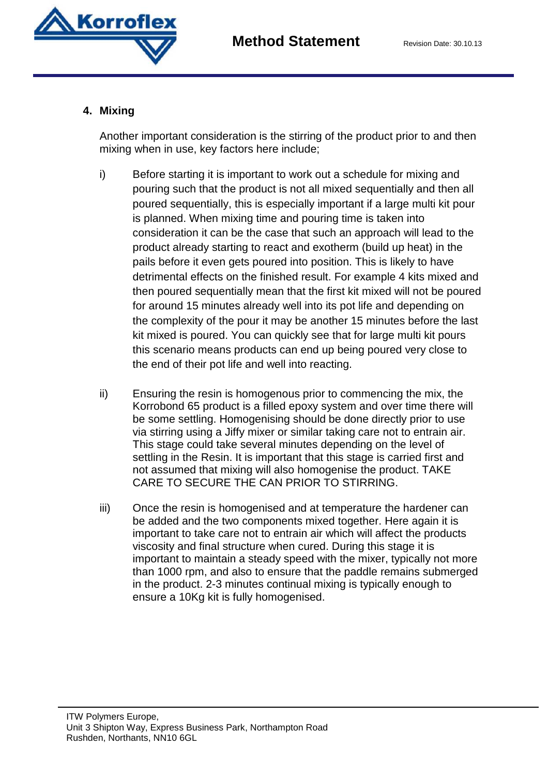

### **4. Mixing**

Another important consideration is the stirring of the product prior to and then mixing when in use, key factors here include;

- i) Before starting it is important to work out a schedule for mixing and pouring such that the product is not all mixed sequentially and then all poured sequentially, this is especially important if a large multi kit pour is planned. When mixing time and pouring time is taken into consideration it can be the case that such an approach will lead to the product already starting to react and exotherm (build up heat) in the pails before it even gets poured into position. This is likely to have detrimental effects on the finished result. For example 4 kits mixed and then poured sequentially mean that the first kit mixed will not be poured for around 15 minutes already well into its pot life and depending on the complexity of the pour it may be another 15 minutes before the last kit mixed is poured. You can quickly see that for large multi kit pours this scenario means products can end up being poured very close to the end of their pot life and well into reacting.
- ii) Ensuring the resin is homogenous prior to commencing the mix, the Korrobond 65 product is a filled epoxy system and over time there will be some settling. Homogenising should be done directly prior to use via stirring using a Jiffy mixer or similar taking care not to entrain air. This stage could take several minutes depending on the level of settling in the Resin. It is important that this stage is carried first and not assumed that mixing will also homogenise the product. TAKE CARE TO SECURE THE CAN PRIOR TO STIRRING.
- iii) Once the resin is homogenised and at temperature the hardener can be added and the two components mixed together. Here again it is important to take care not to entrain air which will affect the products viscosity and final structure when cured. During this stage it is important to maintain a steady speed with the mixer, typically not more than 1000 rpm, and also to ensure that the paddle remains submerged in the product. 2-3 minutes continual mixing is typically enough to ensure a 10Kg kit is fully homogenised.